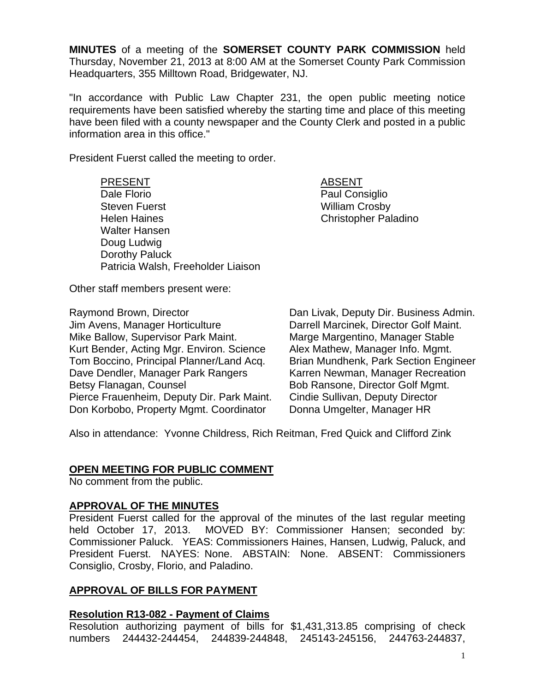**MINUTES** of a meeting of the **SOMERSET COUNTY PARK COMMISSION** held Thursday, November 21, 2013 at 8:00 AM at the Somerset County Park Commission Headquarters, 355 Milltown Road, Bridgewater, NJ.

"In accordance with Public Law Chapter 231, the open public meeting notice requirements have been satisfied whereby the starting time and place of this meeting have been filed with a county newspaper and the County Clerk and posted in a public information area in this office."

President Fuerst called the meeting to order.

PRESENT ABSENT Dale Florio **Paul Consiglio** 

Steven Fuerst Nilliam Crosby Helen Haines **Christopher Paladino**  Walter Hansen Doug Ludwig Dorothy Paluck Patricia Walsh, Freeholder Liaison

Other staff members present were:

Jim Avens, Manager Horticulture Darrell Marcinek, Director Golf Maint. Mike Ballow, Supervisor Park Maint. Marge Margentino, Manager Stable Kurt Bender, Acting Mgr. Environ. Science Alex Mathew, Manager Info. Mgmt. Tom Boccino, Principal Planner/Land Acq. Brian Mundhenk, Park Section Engineer Dave Dendler, Manager Park Rangers Karren Newman, Manager Recreation Betsy Flanagan, Counsel **Bob Ransone, Director Golf Mgmt.** Pierce Frauenheim, Deputy Dir. Park Maint. Cindie Sullivan, Deputy Director Don Korbobo, Property Mgmt. Coordinator Donna Umgelter, Manager HR

Raymond Brown, Director Dan Livak, Deputy Dir. Business Admin.

Also in attendance: Yvonne Childress, Rich Reitman, Fred Quick and Clifford Zink

#### **OPEN MEETING FOR PUBLIC COMMENT**

No comment from the public.

### **APPROVAL OF THE MINUTES**

President Fuerst called for the approval of the minutes of the last regular meeting held October 17, 2013. MOVED BY: Commissioner Hansen; seconded by: Commissioner Paluck. YEAS: Commissioners Haines, Hansen, Ludwig, Paluck, and President Fuerst. NAYES: None. ABSTAIN: None. ABSENT: Commissioners Consiglio, Crosby, Florio, and Paladino.

### **APPROVAL OF BILLS FOR PAYMENT**

#### **Resolution R13-082 - Payment of Claims**

Resolution authorizing payment of bills for \$1,431,313.85 comprising of check numbers 244432-244454, 244839-244848, 245143-245156, 244763-244837,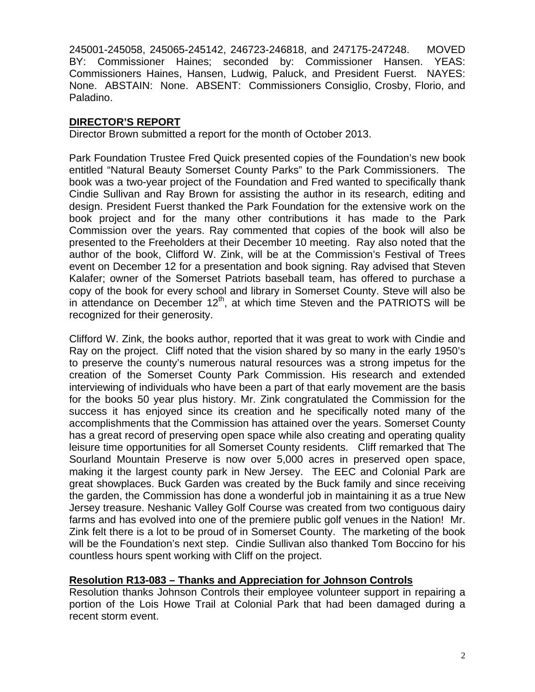245001-245058, 245065-245142, 246723-246818, and 247175-247248. MOVED BY: Commissioner Haines; seconded by: Commissioner Hansen. YEAS: Commissioners Haines, Hansen, Ludwig, Paluck, and President Fuerst. NAYES: None. ABSTAIN: None. ABSENT: Commissioners Consiglio, Crosby, Florio, and Paladino.

# **DIRECTOR'S REPORT**

Director Brown submitted a report for the month of October 2013.

Park Foundation Trustee Fred Quick presented copies of the Foundation's new book entitled "Natural Beauty Somerset County Parks" to the Park Commissioners. The book was a two-year project of the Foundation and Fred wanted to specifically thank Cindie Sullivan and Ray Brown for assisting the author in its research, editing and design. President Fuerst thanked the Park Foundation for the extensive work on the book project and for the many other contributions it has made to the Park Commission over the years. Ray commented that copies of the book will also be presented to the Freeholders at their December 10 meeting. Ray also noted that the author of the book, Clifford W. Zink, will be at the Commission's Festival of Trees event on December 12 for a presentation and book signing. Ray advised that Steven Kalafer; owner of the Somerset Patriots baseball team, has offered to purchase a copy of the book for every school and library in Somerset County. Steve will also be in attendance on December  $12<sup>th</sup>$ , at which time Steven and the PATRIOTS will be recognized for their generosity.

Clifford W. Zink, the books author, reported that it was great to work with Cindie and Ray on the project. Cliff noted that the vision shared by so many in the early 1950's to preserve the county's numerous natural resources was a strong impetus for the creation of the Somerset County Park Commission. His research and extended interviewing of individuals who have been a part of that early movement are the basis for the books 50 year plus history. Mr. Zink congratulated the Commission for the success it has enjoyed since its creation and he specifically noted many of the accomplishments that the Commission has attained over the years. Somerset County has a great record of preserving open space while also creating and operating quality leisure time opportunities for all Somerset County residents. Cliff remarked that The Sourland Mountain Preserve is now over 5,000 acres in preserved open space, making it the largest county park in New Jersey. The EEC and Colonial Park are great showplaces. Buck Garden was created by the Buck family and since receiving the garden, the Commission has done a wonderful job in maintaining it as a true New Jersey treasure. Neshanic Valley Golf Course was created from two contiguous dairy farms and has evolved into one of the premiere public golf venues in the Nation! Mr. Zink felt there is a lot to be proud of in Somerset County. The marketing of the book will be the Foundation's next step. Cindie Sullivan also thanked Tom Boccino for his countless hours spent working with Cliff on the project.

### **Resolution R13-083 – Thanks and Appreciation for Johnson Controls**

Resolution thanks Johnson Controls their employee volunteer support in repairing a portion of the Lois Howe Trail at Colonial Park that had been damaged during a recent storm event.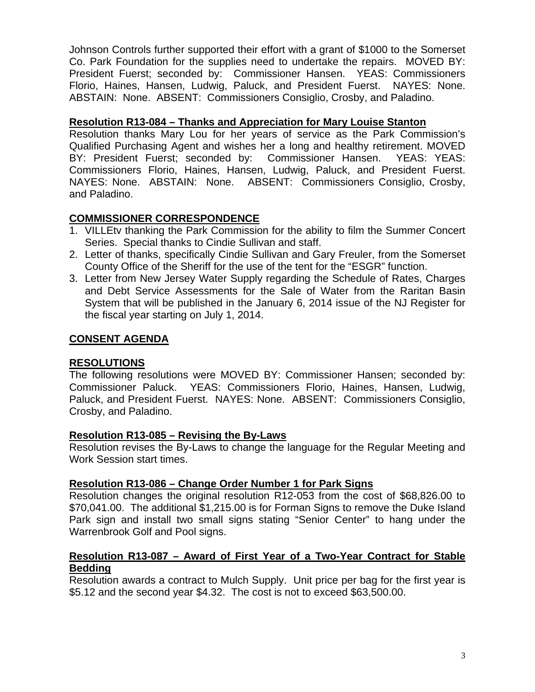Johnson Controls further supported their effort with a grant of \$1000 to the Somerset Co. Park Foundation for the supplies need to undertake the repairs. MOVED BY: President Fuerst; seconded by: Commissioner Hansen. YEAS: Commissioners Florio, Haines, Hansen, Ludwig, Paluck, and President Fuerst. NAYES: None. ABSTAIN: None. ABSENT: Commissioners Consiglio, Crosby, and Paladino.

### **Resolution R13-084 – Thanks and Appreciation for Mary Louise Stanton**

Resolution thanks Mary Lou for her years of service as the Park Commission's Qualified Purchasing Agent and wishes her a long and healthy retirement. MOVED BY: President Fuerst; seconded by: Commissioner Hansen. YEAS: YEAS: Commissioners Florio, Haines, Hansen, Ludwig, Paluck, and President Fuerst. NAYES: None. ABSTAIN: None. ABSENT: Commissioners Consiglio, Crosby, and Paladino.

# **COMMISSIONER CORRESPONDENCE**

- 1. VILLEtv thanking the Park Commission for the ability to film the Summer Concert Series. Special thanks to Cindie Sullivan and staff.
- 2. Letter of thanks, specifically Cindie Sullivan and Gary Freuler, from the Somerset County Office of the Sheriff for the use of the tent for the "ESGR" function.
- 3. Letter from New Jersey Water Supply regarding the Schedule of Rates, Charges and Debt Service Assessments for the Sale of Water from the Raritan Basin System that will be published in the January 6, 2014 issue of the NJ Register for the fiscal year starting on July 1, 2014.

# **CONSENT AGENDA**

### **RESOLUTIONS**

The following resolutions were MOVED BY: Commissioner Hansen; seconded by: Commissioner Paluck. YEAS: Commissioners Florio, Haines, Hansen, Ludwig, Paluck, and President Fuerst. NAYES: None. ABSENT: Commissioners Consiglio, Crosby, and Paladino.

### **Resolution R13-085 – Revising the By-Laws**

Resolution revises the By-Laws to change the language for the Regular Meeting and Work Session start times.

### **Resolution R13-086 – Change Order Number 1 for Park Signs**

Resolution changes the original resolution R12-053 from the cost of \$68,826.00 to \$70,041.00. The additional \$1,215.00 is for Forman Signs to remove the Duke Island Park sign and install two small signs stating "Senior Center" to hang under the Warrenbrook Golf and Pool signs.

### **Resolution R13-087 – Award of First Year of a Two-Year Contract for Stable Bedding**

Resolution awards a contract to Mulch Supply. Unit price per bag for the first year is \$5.12 and the second year \$4.32. The cost is not to exceed \$63,500.00.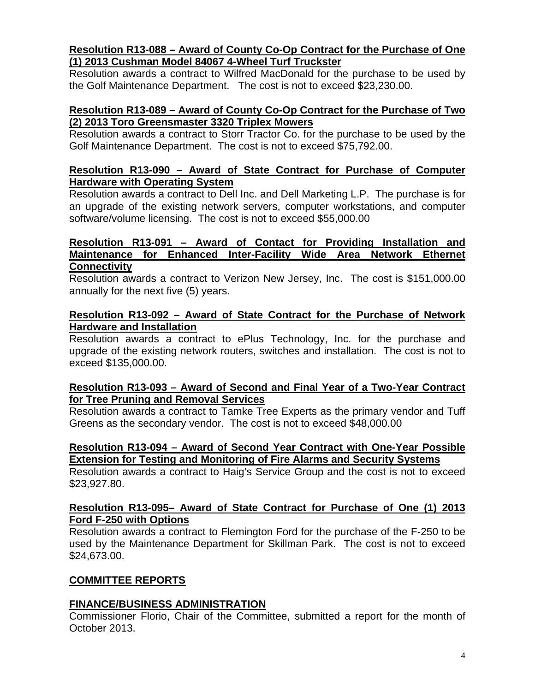#### **Resolution R13-088 – Award of County Co-Op Contract for the Purchase of One (1) 2013 Cushman Model 84067 4-Wheel Turf Truckster**

Resolution awards a contract to Wilfred MacDonald for the purchase to be used by the Golf Maintenance Department. The cost is not to exceed \$23,230.00.

### **Resolution R13-089 – Award of County Co-Op Contract for the Purchase of Two (2) 2013 Toro Greensmaster 3320 Triplex Mowers**

Resolution awards a contract to Storr Tractor Co. for the purchase to be used by the Golf Maintenance Department. The cost is not to exceed \$75,792.00.

### **Resolution R13-090 – Award of State Contract for Purchase of Computer Hardware with Operating System**

Resolution awards a contract to Dell Inc. and Dell Marketing L.P. The purchase is for an upgrade of the existing network servers, computer workstations, and computer software/volume licensing. The cost is not to exceed \$55,000.00

#### **Resolution R13-091 – Award of Contact for Providing Installation and Maintenance for Enhanced Inter-Facility Wide Area Network Ethernet Connectivity**

Resolution awards a contract to Verizon New Jersey, Inc. The cost is \$151,000.00 annually for the next five (5) years.

### **Resolution R13-092 – Award of State Contract for the Purchase of Network Hardware and Installation**

Resolution awards a contract to ePlus Technology, Inc. for the purchase and upgrade of the existing network routers, switches and installation. The cost is not to exceed \$135,000.00.

### **Resolution R13-093 – Award of Second and Final Year of a Two-Year Contract for Tree Pruning and Removal Services**

Resolution awards a contract to Tamke Tree Experts as the primary vendor and Tuff Greens as the secondary vendor. The cost is not to exceed \$48,000.00

### **Resolution R13-094 – Award of Second Year Contract with One-Year Possible Extension for Testing and Monitoring of Fire Alarms and Security Systems**

Resolution awards a contract to Haig's Service Group and the cost is not to exceed \$23,927.80.

# **Resolution R13-095– Award of State Contract for Purchase of One (1) 2013 Ford F-250 with Options**

Resolution awards a contract to Flemington Ford for the purchase of the F-250 to be used by the Maintenance Department for Skillman Park. The cost is not to exceed \$24,673.00.

# **COMMITTEE REPORTS**

# **FINANCE/BUSINESS ADMINISTRATION**

Commissioner Florio, Chair of the Committee, submitted a report for the month of October 2013.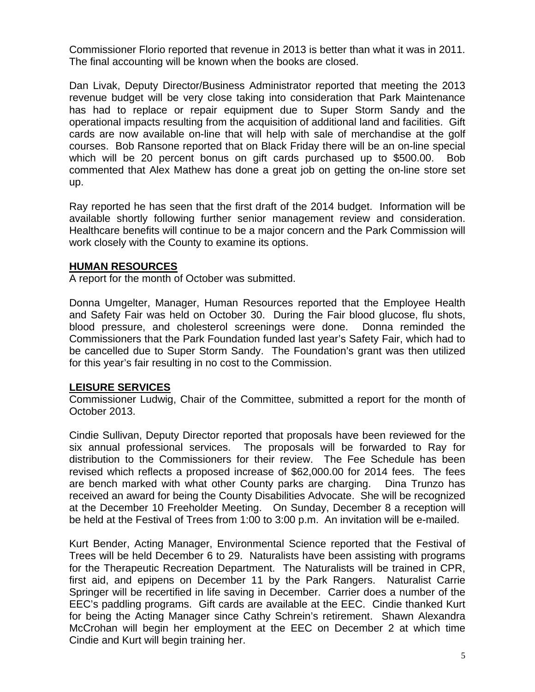Commissioner Florio reported that revenue in 2013 is better than what it was in 2011. The final accounting will be known when the books are closed.

Dan Livak, Deputy Director/Business Administrator reported that meeting the 2013 revenue budget will be very close taking into consideration that Park Maintenance has had to replace or repair equipment due to Super Storm Sandy and the operational impacts resulting from the acquisition of additional land and facilities. Gift cards are now available on-line that will help with sale of merchandise at the golf courses. Bob Ransone reported that on Black Friday there will be an on-line special which will be 20 percent bonus on gift cards purchased up to \$500.00. Bob commented that Alex Mathew has done a great job on getting the on-line store set up.

Ray reported he has seen that the first draft of the 2014 budget. Information will be available shortly following further senior management review and consideration. Healthcare benefits will continue to be a major concern and the Park Commission will work closely with the County to examine its options.

# **HUMAN RESOURCES**

A report for the month of October was submitted.

Donna Umgelter, Manager, Human Resources reported that the Employee Health and Safety Fair was held on October 30. During the Fair blood glucose, flu shots, blood pressure, and cholesterol screenings were done. Donna reminded the Commissioners that the Park Foundation funded last year's Safety Fair, which had to be cancelled due to Super Storm Sandy. The Foundation's grant was then utilized for this year's fair resulting in no cost to the Commission.

### **LEISURE SERVICES**

Commissioner Ludwig, Chair of the Committee, submitted a report for the month of October 2013.

Cindie Sullivan, Deputy Director reported that proposals have been reviewed for the six annual professional services. The proposals will be forwarded to Ray for distribution to the Commissioners for their review. The Fee Schedule has been revised which reflects a proposed increase of \$62,000.00 for 2014 fees. The fees are bench marked with what other County parks are charging. Dina Trunzo has received an award for being the County Disabilities Advocate. She will be recognized at the December 10 Freeholder Meeting. On Sunday, December 8 a reception will be held at the Festival of Trees from 1:00 to 3:00 p.m. An invitation will be e-mailed.

Kurt Bender, Acting Manager, Environmental Science reported that the Festival of Trees will be held December 6 to 29. Naturalists have been assisting with programs for the Therapeutic Recreation Department. The Naturalists will be trained in CPR, first aid, and epipens on December 11 by the Park Rangers. Naturalist Carrie Springer will be recertified in life saving in December. Carrier does a number of the EEC's paddling programs. Gift cards are available at the EEC. Cindie thanked Kurt for being the Acting Manager since Cathy Schrein's retirement. Shawn Alexandra McCrohan will begin her employment at the EEC on December 2 at which time Cindie and Kurt will begin training her.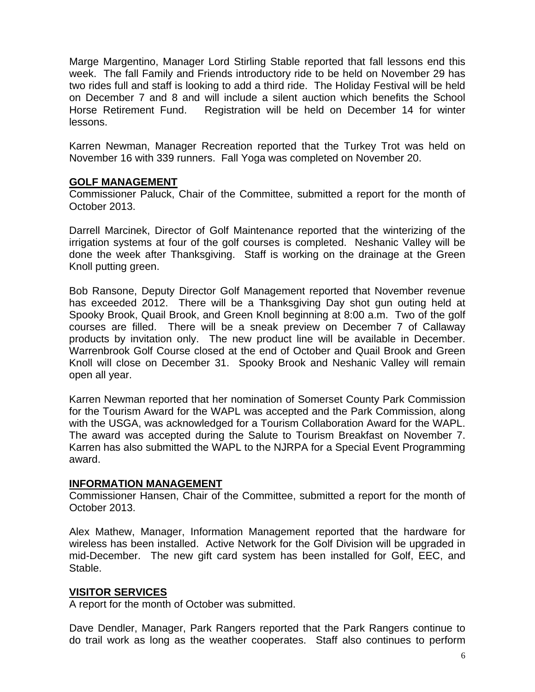Marge Margentino, Manager Lord Stirling Stable reported that fall lessons end this week. The fall Family and Friends introductory ride to be held on November 29 has two rides full and staff is looking to add a third ride. The Holiday Festival will be held on December 7 and 8 and will include a silent auction which benefits the School Horse Retirement Fund. Registration will be held on December 14 for winter lessons.

Karren Newman, Manager Recreation reported that the Turkey Trot was held on November 16 with 339 runners. Fall Yoga was completed on November 20.

#### **GOLF MANAGEMENT**

Commissioner Paluck, Chair of the Committee, submitted a report for the month of October 2013.

Darrell Marcinek, Director of Golf Maintenance reported that the winterizing of the irrigation systems at four of the golf courses is completed. Neshanic Valley will be done the week after Thanksgiving. Staff is working on the drainage at the Green Knoll putting green.

Bob Ransone, Deputy Director Golf Management reported that November revenue has exceeded 2012. There will be a Thanksgiving Day shot gun outing held at Spooky Brook, Quail Brook, and Green Knoll beginning at 8:00 a.m. Two of the golf courses are filled. There will be a sneak preview on December 7 of Callaway products by invitation only. The new product line will be available in December. Warrenbrook Golf Course closed at the end of October and Quail Brook and Green Knoll will close on December 31. Spooky Brook and Neshanic Valley will remain open all year.

Karren Newman reported that her nomination of Somerset County Park Commission for the Tourism Award for the WAPL was accepted and the Park Commission, along with the USGA, was acknowledged for a Tourism Collaboration Award for the WAPL. The award was accepted during the Salute to Tourism Breakfast on November 7. Karren has also submitted the WAPL to the NJRPA for a Special Event Programming award.

#### **INFORMATION MANAGEMENT**

Commissioner Hansen, Chair of the Committee, submitted a report for the month of October 2013.

Alex Mathew, Manager, Information Management reported that the hardware for wireless has been installed. Active Network for the Golf Division will be upgraded in mid-December. The new gift card system has been installed for Golf, EEC, and Stable.

### **VISITOR SERVICES**

A report for the month of October was submitted.

Dave Dendler, Manager, Park Rangers reported that the Park Rangers continue to do trail work as long as the weather cooperates. Staff also continues to perform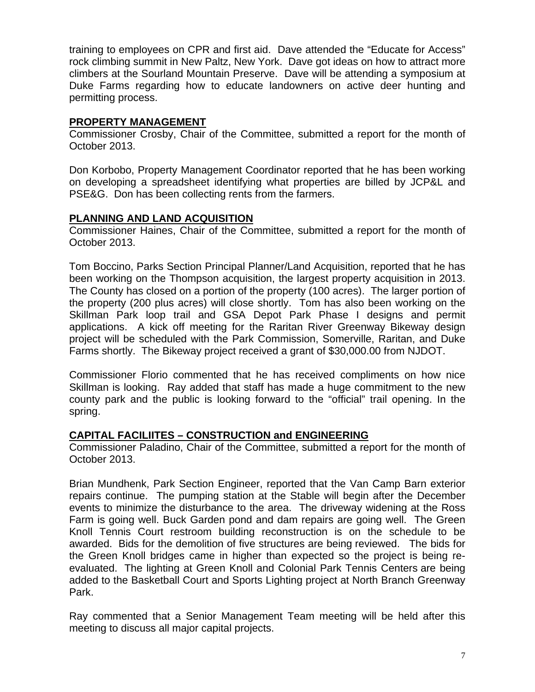training to employees on CPR and first aid. Dave attended the "Educate for Access" rock climbing summit in New Paltz, New York. Dave got ideas on how to attract more climbers at the Sourland Mountain Preserve. Dave will be attending a symposium at Duke Farms regarding how to educate landowners on active deer hunting and permitting process.

### **PROPERTY MANAGEMENT**

Commissioner Crosby, Chair of the Committee, submitted a report for the month of October 2013.

Don Korbobo, Property Management Coordinator reported that he has been working on developing a spreadsheet identifying what properties are billed by JCP&L and PSE&G. Don has been collecting rents from the farmers.

# **PLANNING AND LAND ACQUISITION**

Commissioner Haines, Chair of the Committee, submitted a report for the month of October 2013.

Tom Boccino, Parks Section Principal Planner/Land Acquisition, reported that he has been working on the Thompson acquisition, the largest property acquisition in 2013. The County has closed on a portion of the property (100 acres). The larger portion of the property (200 plus acres) will close shortly. Tom has also been working on the Skillman Park loop trail and GSA Depot Park Phase I designs and permit applications. A kick off meeting for the Raritan River Greenway Bikeway design project will be scheduled with the Park Commission, Somerville, Raritan, and Duke Farms shortly. The Bikeway project received a grant of \$30,000.00 from NJDOT.

Commissioner Florio commented that he has received compliments on how nice Skillman is looking. Ray added that staff has made a huge commitment to the new county park and the public is looking forward to the "official" trail opening. In the spring.

### **CAPITAL FACILIITES – CONSTRUCTION and ENGINEERING**

Commissioner Paladino, Chair of the Committee, submitted a report for the month of October 2013.

Brian Mundhenk, Park Section Engineer, reported that the Van Camp Barn exterior repairs continue. The pumping station at the Stable will begin after the December events to minimize the disturbance to the area. The driveway widening at the Ross Farm is going well. Buck Garden pond and dam repairs are going well. The Green Knoll Tennis Court restroom building reconstruction is on the schedule to be awarded. Bids for the demolition of five structures are being reviewed. The bids for the Green Knoll bridges came in higher than expected so the project is being reevaluated. The lighting at Green Knoll and Colonial Park Tennis Centers are being added to the Basketball Court and Sports Lighting project at North Branch Greenway Park.

Ray commented that a Senior Management Team meeting will be held after this meeting to discuss all major capital projects.